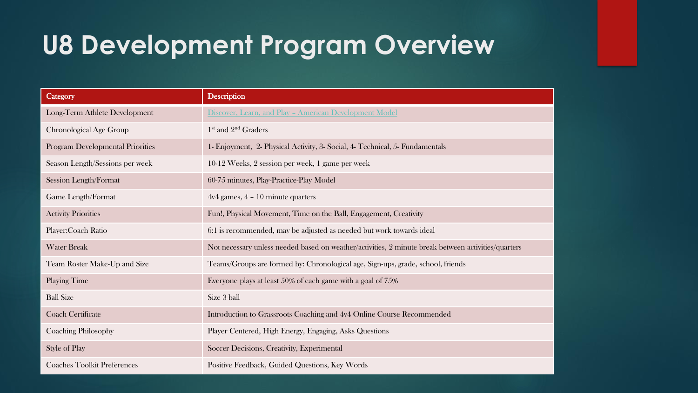## **U8 Development Program Overview**

| Category                                | <b>Description</b>                                                                                  |
|-----------------------------------------|-----------------------------------------------------------------------------------------------------|
| Long-Term Athlete Development           | Discover, Learn, and Play - American Development Model                                              |
| Chronological Age Group                 | 1 <sup>st</sup> and 2 <sup>nd</sup> Graders                                                         |
| <b>Program Developmental Priorities</b> | 1- Enjoyment, 2- Physical Activity, 3- Social, 4- Technical, 5- Fundamentals                        |
| Season Length/Sessions per week         | 10-12 Weeks, 2 session per week, 1 game per week                                                    |
| Session Length/Format                   | 60-75 minutes, Play-Practice-Play Model                                                             |
| Game Length/Format                      | $4v4$ games, $4 - 10$ minute quarters                                                               |
| <b>Activity Priorities</b>              | Fun!, Physical Movement, Time on the Ball, Engagement, Creativity                                   |
| Player: Coach Ratio                     | 6:1 is recommended, may be adjusted as needed but work towards ideal                                |
| <b>Water Break</b>                      | Not necessary unless needed based on weather/activities, 2 minute break between activities/quarters |
| Team Roster Make-Up and Size            | Teams/Groups are formed by: Chronological age, Sign-ups, grade, school, friends                     |
| <b>Playing Time</b>                     | Everyone plays at least 50% of each game with a goal of 75%                                         |
| <b>Ball Size</b>                        | Size 3 ball                                                                                         |
| <b>Coach Certificate</b>                | Introduction to Grassroots Coaching and 4v4 Online Course Recommended                               |
| Coaching Philosophy                     | Player Centered, High Energy, Engaging, Asks Questions                                              |
| Style of Play                           | Soccer Decisions, Creativity, Experimental                                                          |
| <b>Coaches Toolkit Preferences</b>      | Positive Feedback, Guided Questions, Key Words                                                      |